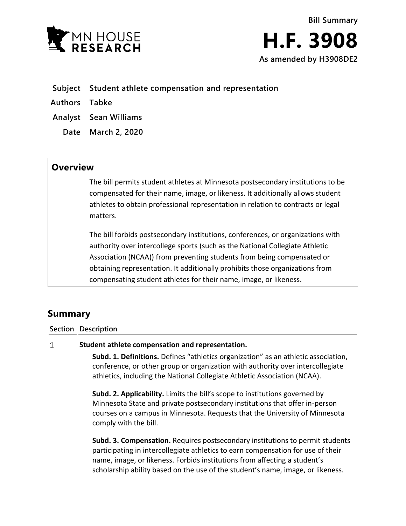

- **Subject Student athlete compensation and representation**
- **Authors Tabke**
- **Analyst Sean Williams**
	- **Date March 2, 2020**

## **Overview**

The bill permits student athletes at Minnesota postsecondary institutions to be compensated for their name, image, or likeness. It additionally allows student athletes to obtain professional representation in relation to contracts or legal matters.

The bill forbids postsecondary institutions, conferences, or organizations with authority over intercollege sports (such as the National Collegiate Athletic Association (NCAA)) from preventing students from being compensated or obtaining representation. It additionally prohibits those organizations from compensating student athletes for their name, image, or likeness.

## **Summary**

**Section Description**

## $\mathbf{1}$ **Student athlete compensation and representation.**

**Subd. 1. Definitions.** Defines "athletics organization" as an athletic association, conference, or other group or organization with authority over intercollegiate athletics, including the National Collegiate Athletic Association (NCAA).

**Subd. 2. Applicability.** Limits the bill's scope to institutions governed by Minnesota State and private postsecondary institutions that offer in-person courses on a campus in Minnesota. Requests that the University of Minnesota comply with the bill.

**Subd. 3. Compensation.** Requires postsecondary institutions to permit students participating in intercollegiate athletics to earn compensation for use of their name, image, or likeness. Forbids institutions from affecting a student's scholarship ability based on the use of the student's name, image, or likeness.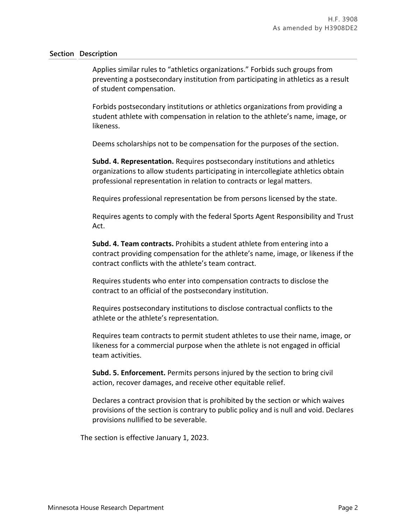## **Section Description**

Applies similar rules to "athletics organizations." Forbids such groups from preventing a postsecondary institution from participating in athletics as a result of student compensation.

Forbids postsecondary institutions or athletics organizations from providing a student athlete with compensation in relation to the athlete's name, image, or likeness.

Deems scholarships not to be compensation for the purposes of the section.

**Subd. 4. Representation.** Requires postsecondary institutions and athletics organizations to allow students participating in intercollegiate athletics obtain professional representation in relation to contracts or legal matters.

Requires professional representation be from persons licensed by the state.

Requires agents to comply with the federal Sports Agent Responsibility and Trust Act.

**Subd. 4. Team contracts.** Prohibits a student athlete from entering into a contract providing compensation for the athlete's name, image, or likeness if the contract conflicts with the athlete's team contract.

Requires students who enter into compensation contracts to disclose the contract to an official of the postsecondary institution.

Requires postsecondary institutions to disclose contractual conflicts to the athlete or the athlete's representation.

Requires team contracts to permit student athletes to use their name, image, or likeness for a commercial purpose when the athlete is not engaged in official team activities.

**Subd. 5. Enforcement.** Permits persons injured by the section to bring civil action, recover damages, and receive other equitable relief.

Declares a contract provision that is prohibited by the section or which waives provisions of the section is contrary to public policy and is null and void. Declares provisions nullified to be severable.

The section is effective January 1, 2023.